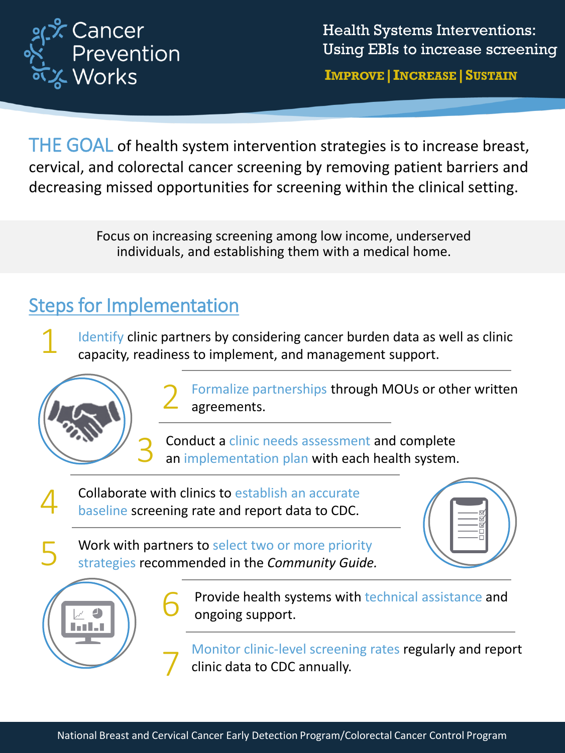

Health Systems Interventions: Using EBIs to increase screening

**IMPROVE|INCREASE|SUSTAIN**

THE GOAL of health system intervention strategies is to increase breast, cervical, and colorectal cancer screening by removing patient barriers and decreasing missed opportunities for screening within the clinical setting.

> Focus on increasing screening among low income, underserved individuals, and establishing them with a medical home.

## Steps for Implementation

1 Identify clinic partners by considering cancer burden data as well as clinic capacity, readiness to implement, and management support.



2 Formalize partnerships through MOUs or other written agreements.

Conduct a clinic needs assessment and complete an implementation plan with each health system.

4 Collaborate with clinics to establish an accurate baseline screening rate and report data to CDC.

6

7

Work with partners to select two or more priority strategies recommended in the *Community Guide.* 





Provide health systems with technical assistance and ongoing support.

Monitor clinic-level screening rates regularly and report clinic data to CDC annually.